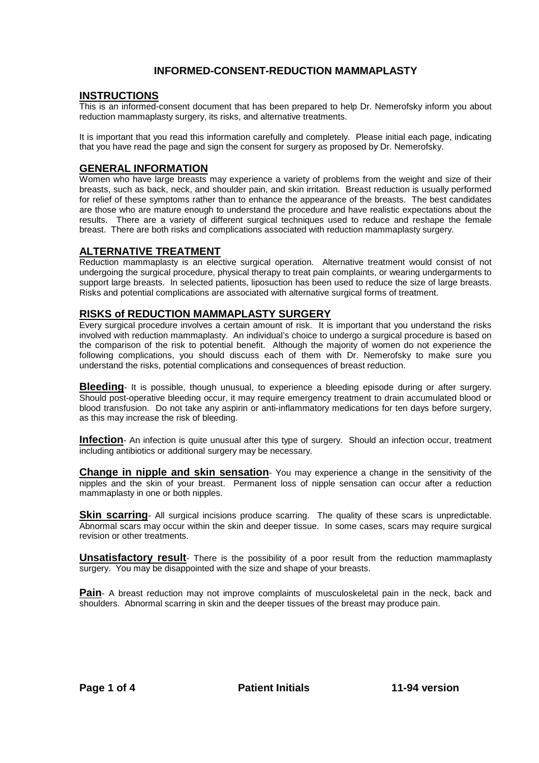## **INFORMED-CONSENT-REDUCTION MAMMAPLASTY**

#### **INSTRUCTIONS**

This is an informed-consent document that has been prepared to help Dr. Nemerofsky inform you about reduction mammaplasty surgery, its risks, and alternative treatments.

It is important that you read this information carefully and completely. Please initial each page, indicating that you have read the page and sign the consent for surgery as proposed by Dr. Nemerofsky.

### **GENERAL INFORMATION**

Women who have large breasts may experience a variety of problems from the weight and size of their breasts, such as back, neck, and shoulder pain, and skin irritation. Breast reduction is usually performed for relief of these symptoms rather than to enhance the appearance of the breasts. The best candidates are those who are mature enough to understand the procedure and have realistic expectations about the results. There are a variety of different surgical techniques used to reduce and reshape the female breast. There are both risks and complications associated with reduction mammaplasty surgery.

#### **ALTERNATIVE TREATMENT**

Reduction mammaplasty is an elective surgical operation. Alternative treatment would consist of not undergoing the surgical procedure, physical therapy to treat pain complaints, or wearing undergarments to support large breasts. In selected patients, liposuction has been used to reduce the size of large breasts. Risks and potential complications are associated with alternative surgical forms of treatment.

#### **RISKS of REDUCTION MAMMAPLASTY SURGERY**

Every surgical procedure involves a certain amount of risk. It is important that you understand the risks involved with reduction mammaplasty. An individual's choice to undergo a surgical procedure is based on the comparison of the risk to potential benefit. Although the majority of women do not experience the following complications, you should discuss each of them with Dr. Nemerofsky to make sure you understand the risks, potential complications and consequences of breast reduction.

**Bleeding**- It is possible, though unusual, to experience a bleeding episode during or after surgery. Should post-operative bleeding occur, it may require emergency treatment to drain accumulated blood or blood transfusion. Do not take any aspirin or anti-inflammatory medications for ten days before surgery, as this may increase the risk of bleeding.

**Infection**- An infection is quite unusual after this type of surgery. Should an infection occur, treatment including antibiotics or additional surgery may be necessary.

**Change in nipple and skin sensation**- You may experience a change in the sensitivity of the nipples and the skin of your breast. Permanent loss of nipple sensation can occur after a reduction mammaplasty in one or both nipples.

**Skin scarring**- All surgical incisions produce scarring. The quality of these scars is unpredictable. Abnormal scars may occur within the skin and deeper tissue. In some cases, scars may require surgical revision or other treatments.

**Unsatisfactory result**- There is the possibility of a poor result from the reduction mammaplasty surgery. You may be disappointed with the size and shape of your breasts.

Pain- A breast reduction may not improve complaints of musculoskeletal pain in the neck, back and shoulders. Abnormal scarring in skin and the deeper tissues of the breast may produce pain.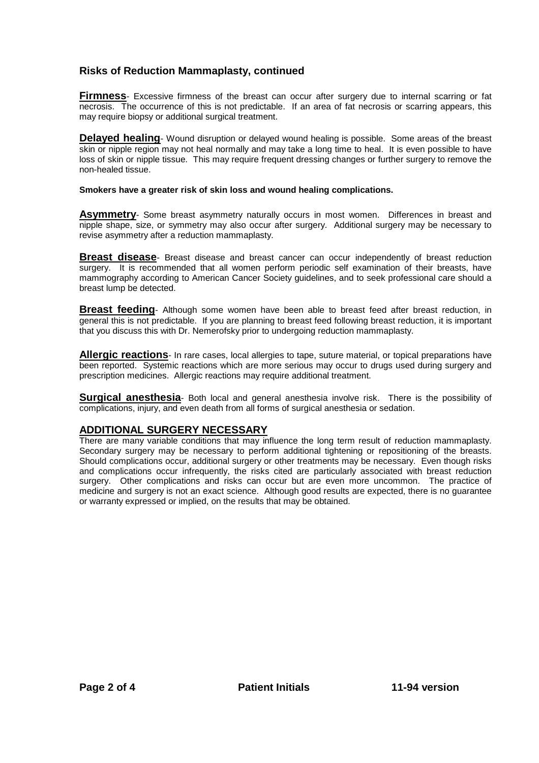# **Risks of Reduction Mammaplasty, continued**

**Firmness**- Excessive firmness of the breast can occur after surgery due to internal scarring or fat necrosis. The occurrence of this is not predictable. If an area of fat necrosis or scarring appears, this may require biopsy or additional surgical treatment.

**Delayed healing**- Wound disruption or delayed wound healing is possible. Some areas of the breast skin or nipple region may not heal normally and may take a long time to heal. It is even possible to have loss of skin or nipple tissue. This may require frequent dressing changes or further surgery to remove the non-healed tissue.

#### **Smokers have a greater risk of skin loss and wound healing complications.**

**Asymmetry**- Some breast asymmetry naturally occurs in most women. Differences in breast and nipple shape, size, or symmetry may also occur after surgery. Additional surgery may be necessary to revise asymmetry after a reduction mammaplasty.

**Breast disease**- Breast disease and breast cancer can occur independently of breast reduction surgery. It is recommended that all women perform periodic self examination of their breasts, have mammography according to American Cancer Society guidelines, and to seek professional care should a breast lump be detected.

**Breast feeding**- Although some women have been able to breast feed after breast reduction, in general this is not predictable. If you are planning to breast feed following breast reduction, it is important that you discuss this with Dr. Nemerofsky prior to undergoing reduction mammaplasty.

**Allergic reactions**- In rare cases, local allergies to tape, suture material, or topical preparations have been reported. Systemic reactions which are more serious may occur to drugs used during surgery and prescription medicines. Allergic reactions may require additional treatment.

**Surgical anesthesia**- Both local and general anesthesia involve risk. There is the possibility of complications, injury, and even death from all forms of surgical anesthesia or sedation.

## **ADDITIONAL SURGERY NECESSARY**

There are many variable conditions that may influence the long term result of reduction mammaplasty. Secondary surgery may be necessary to perform additional tightening or repositioning of the breasts. Should complications occur, additional surgery or other treatments may be necessary. Even though risks and complications occur infrequently, the risks cited are particularly associated with breast reduction surgery. Other complications and risks can occur but are even more uncommon. The practice of medicine and surgery is not an exact science. Although good results are expected, there is no guarantee or warranty expressed or implied, on the results that may be obtained.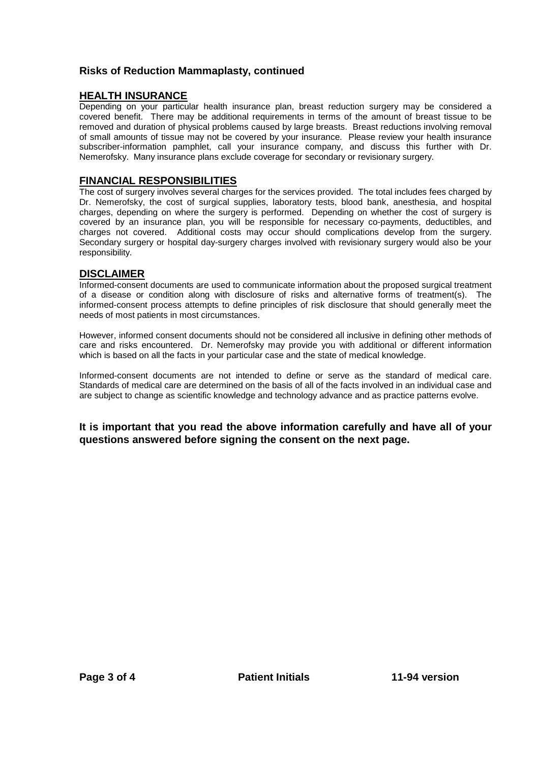# **Risks of Reduction Mammaplasty, continued**

# **HEALTH INSURANCE**

Depending on your particular health insurance plan, breast reduction surgery may be considered a covered benefit. There may be additional requirements in terms of the amount of breast tissue to be removed and duration of physical problems caused by large breasts. Breast reductions involving removal of small amounts of tissue may not be covered by your insurance. Please review your health insurance subscriber-information pamphlet, call your insurance company, and discuss this further with Dr. Nemerofsky. Many insurance plans exclude coverage for secondary or revisionary surgery.

## **FINANCIAL RESPONSIBILITIES**

The cost of surgery involves several charges for the services provided. The total includes fees charged by Dr. Nemerofsky, the cost of surgical supplies, laboratory tests, blood bank, anesthesia, and hospital charges, depending on where the surgery is performed. Depending on whether the cost of surgery is covered by an insurance plan, you will be responsible for necessary co-payments, deductibles, and charges not covered. Additional costs may occur should complications develop from the surgery. Secondary surgery or hospital day-surgery charges involved with revisionary surgery would also be your responsibility.

# **DISCLAIMER**

Informed-consent documents are used to communicate information about the proposed surgical treatment of a disease or condition along with disclosure of risks and alternative forms of treatment(s). The informed-consent process attempts to define principles of risk disclosure that should generally meet the needs of most patients in most circumstances.

However, informed consent documents should not be considered all inclusive in defining other methods of care and risks encountered. Dr. Nemerofsky may provide you with additional or different information which is based on all the facts in your particular case and the state of medical knowledge.

Informed-consent documents are not intended to define or serve as the standard of medical care. Standards of medical care are determined on the basis of all of the facts involved in an individual case and are subject to change as scientific knowledge and technology advance and as practice patterns evolve.

**It is important that you read the above information carefully and have all of your questions answered before signing the consent on the next page.**